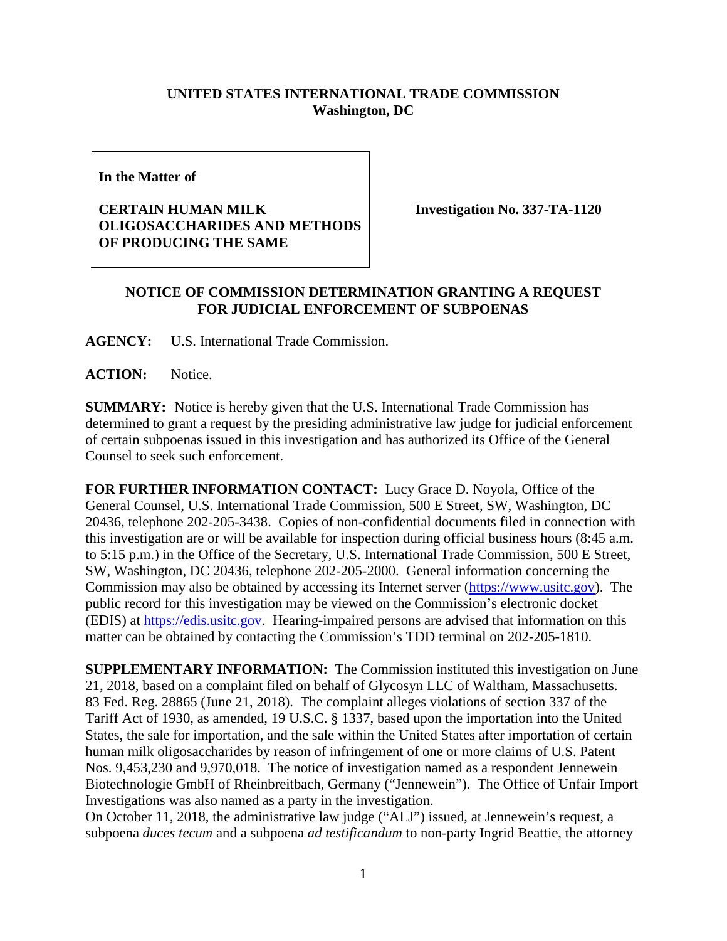## **UNITED STATES INTERNATIONAL TRADE COMMISSION Washington, DC**

**In the Matter of**

## **CERTAIN HUMAN MILK OLIGOSACCHARIDES AND METHODS OF PRODUCING THE SAME**

**Investigation No. 337-TA-1120**

## **NOTICE OF COMMISSION DETERMINATION GRANTING A REQUEST FOR JUDICIAL ENFORCEMENT OF SUBPOENAS**

**AGENCY:** U.S. International Trade Commission.

**ACTION:** Notice.

**SUMMARY:** Notice is hereby given that the U.S. International Trade Commission has determined to grant a request by the presiding administrative law judge for judicial enforcement of certain subpoenas issued in this investigation and has authorized its Office of the General Counsel to seek such enforcement.

**FOR FURTHER INFORMATION CONTACT:** Lucy Grace D. Noyola, Office of the General Counsel, U.S. International Trade Commission, 500 E Street, SW, Washington, DC 20436, telephone 202-205-3438. Copies of non-confidential documents filed in connection with this investigation are or will be available for inspection during official business hours (8:45 a.m. to 5:15 p.m.) in the Office of the Secretary, U.S. International Trade Commission, 500 E Street, SW, Washington, DC 20436, telephone 202-205-2000. General information concerning the Commission may also be obtained by accessing its Internet server [\(https://www.usitc.gov\)](https://www.usitc.gov/). The public record for this investigation may be viewed on the Commission's electronic docket (EDIS) at [https://edis.usitc.gov.](https://edis.usitc.gov/) Hearing-impaired persons are advised that information on this matter can be obtained by contacting the Commission's TDD terminal on 202-205-1810.

**SUPPLEMENTARY INFORMATION:** The Commission instituted this investigation on June 21, 2018, based on a complaint filed on behalf of Glycosyn LLC of Waltham, Massachusetts. 83 Fed. Reg. 28865 (June 21, 2018). The complaint alleges violations of section 337 of the Tariff Act of 1930, as amended, 19 U.S.C. § 1337, based upon the importation into the United States, the sale for importation, and the sale within the United States after importation of certain human milk oligosaccharides by reason of infringement of one or more claims of U.S. Patent Nos. 9,453,230 and 9,970,018. The notice of investigation named as a respondent Jennewein Biotechnologie GmbH of Rheinbreitbach, Germany ("Jennewein"). The Office of Unfair Import Investigations was also named as a party in the investigation.

On October 11, 2018, the administrative law judge ("ALJ") issued, at Jennewein's request, a subpoena *duces tecum* and a subpoena *ad testificandum* to non-party Ingrid Beattie, the attorney